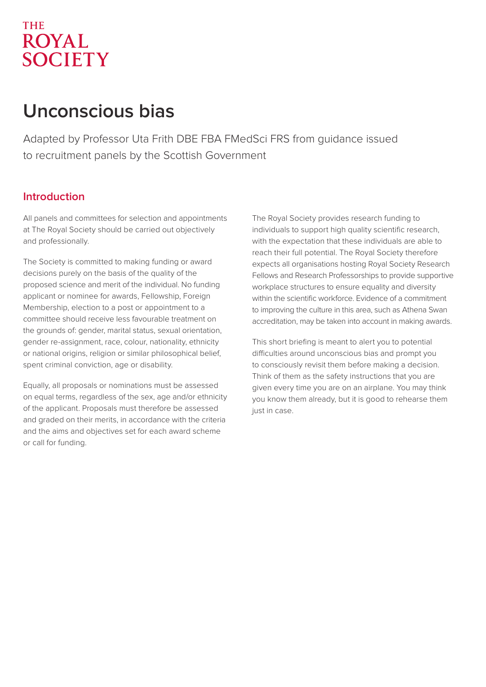## **THE ROYAL SOCIETY**

# **Unconscious bias**

Adapted by Professor Uta Frith DBE FBA FMedSci FRS from guidance issued to recruitment panels by the Scottish Government

## **Introduction**

All panels and committees for selection and appointments at The Royal Society should be carried out objectively and professionally.

The Society is committed to making funding or award decisions purely on the basis of the quality of the proposed science and merit of the individual. No funding applicant or nominee for awards, Fellowship, Foreign Membership, election to a post or appointment to a committee should receive less favourable treatment on the grounds of: gender, marital status, sexual orientation, gender re-assignment, race, colour, nationality, ethnicity or national origins, religion or similar philosophical belief, spent criminal conviction, age or disability.

Equally, all proposals or nominations must be assessed on equal terms, regardless of the sex, age and/or ethnicity of the applicant. Proposals must therefore be assessed and graded on their merits, in accordance with the criteria and the aims and objectives set for each award scheme or call for funding.

The Royal Society provides research funding to individuals to support high quality scientific research, with the expectation that these individuals are able to reach their full potential. The Royal Society therefore expects all organisations hosting Royal Society Research Fellows and Research Professorships to provide supportive workplace structures to ensure equality and diversity within the scientific workforce. Evidence of a commitment to improving the culture in this area, such as Athena Swan accreditation, may be taken into account in making awards.

This short briefing is meant to alert you to potential difficulties around unconscious bias and prompt you to consciously revisit them before making a decision. Think of them as the safety instructions that you are given every time you are on an airplane. You may think you know them already, but it is good to rehearse them just in case.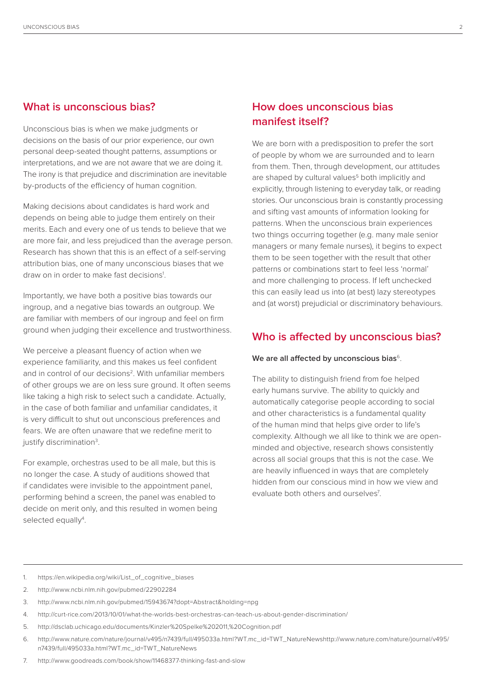## **What is unconscious bias?**

Unconscious bias is when we make judgments or decisions on the basis of our prior experience, our own personal deep-seated thought patterns, assumptions or interpretations, and we are not aware that we are doing it. The irony is that prejudice and discrimination are inevitable by-products of the efficiency of human cognition.

Making decisions about candidates is hard work and depends on being able to judge them entirely on their merits. Each and every one of us tends to believe that we are more fair, and less prejudiced than the average person. Research has shown that this is an effect of a self-serving attribution bias, one of many unconscious biases that we draw on in order to make fast decisions<sup>1</sup>.

Importantly, we have both a positive bias towards our ingroup, and a negative bias towards an outgroup. We are familiar with members of our ingroup and feel on firm ground when judging their excellence and trustworthiness.

We perceive a pleasant fluency of action when we experience familiarity, and this makes us feel confident and in control of our decisions<sup>2</sup>. With unfamiliar members of other groups we are on less sure ground. It often seems like taking a high risk to select such a candidate. Actually, in the case of both familiar and unfamiliar candidates, it is very difficult to shut out unconscious preferences and fears. We are often unaware that we redefine merit to justify discrimination<sup>3</sup>.

For example, orchestras used to be all male, but this is no longer the case. A study of auditions showed that if candidates were invisible to the appointment panel, performing behind a screen, the panel was enabled to decide on merit only, and this resulted in women being selected equally<sup>4</sup>.

## **How does unconscious bias manifest itself?**

We are born with a predisposition to prefer the sort of people by whom we are surrounded and to learn from them. Then, through development, our attitudes are shaped by cultural values<sup>5</sup> both implicitly and explicitly, through listening to everyday talk, or reading stories. Our unconscious brain is constantly processing and sifting vast amounts of information looking for patterns. When the unconscious brain experiences two things occurring together (e.g. many male senior managers or many female nurses), it begins to expect them to be seen together with the result that other patterns or combinations start to feel less 'normal' and more challenging to process. If left unchecked this can easily lead us into (at best) lazy stereotypes and (at worst) prejudicial or discriminatory behaviours.

### **Who is affected by unconscious bias?**

#### We are all affected by unconscious bias<sup>6</sup>.

The ability to distinguish friend from foe helped early humans survive. The ability to quickly and automatically categorise people according to social and other characteristics is a fundamental quality of the human mind that helps give order to life's complexity. Although we all like to think we are openminded and objective, research shows consistently across all social groups that this is not the case. We are heavily influenced in ways that are completely hidden from our conscious mind in how we view and evaluate both others and ourselves<sup>7</sup>.

- 1. https://en.wikipedia.org/wiki/List\_of\_cognitive\_biases
- 2. http://www.ncbi.nlm.nih.gov/pubmed/22902284
- 3. http://www.ncbi.nlm.nih.gov/pubmed/15943674?dopt=Abstract&holding=npg
- 4. http://curt-rice.com/2013/10/01/what-the-worlds-best-orchestras-can-teach-us-about-gender-discrimination/
- 5. http://dsclab.uchicago.edu/documents/Kinzler%20Spelke%202011,%20Cognition.pdf
- 6. http://www.nature.com/nature/journal/v495/n7439/full/495033a.html?WT.mc\_id=TWT\_NatureNewshttp://www.nature.com/nature/journal/v495/ n7439/full/495033a.html?WT.mc\_id=TWT\_NatureNews
- 7. http://www.goodreads.com/book/show/11468377-thinking-fast-and-slow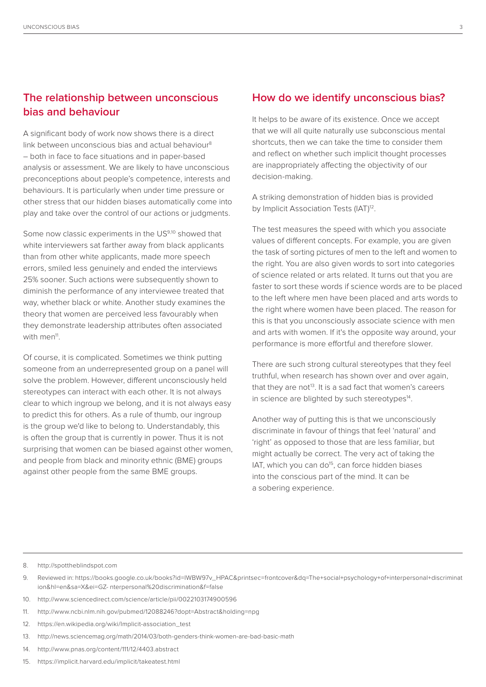## **The relationship between unconscious bias and behaviour**

A significant body of work now shows there is a direct link between unconscious bias and actual behaviour<sup>8</sup> – both in face to face situations and in paper-based analysis or assessment. We are likely to have unconscious preconceptions about people's competence, interests and behaviours. It is particularly when under time pressure or other stress that our hidden biases automatically come into play and take over the control of our actions or judgments.

Some now classic experiments in the US9,10 showed that white interviewers sat farther away from black applicants than from other white applicants, made more speech errors, smiled less genuinely and ended the interviews 25% sooner. Such actions were subsequently shown to diminish the performance of any interviewee treated that way, whether black or white. Another study examines the theory that women are perceived less favourably when they demonstrate leadership attributes often associated with men<sup>11</sup>.

Of course, it is complicated. Sometimes we think putting someone from an underrepresented group on a panel will solve the problem. However, different unconsciously held stereotypes can interact with each other. It is not always clear to which ingroup we belong, and it is not always easy to predict this for others. As a rule of thumb, our ingroup is the group we'd like to belong to. Understandably, this is often the group that is currently in power. Thus it is not surprising that women can be biased against other women, and people from black and minority ethnic (BME) groups against other people from the same BME groups.

#### **How do we identify unconscious bias?**

It helps to be aware of its existence. Once we accept that we will all quite naturally use subconscious mental shortcuts, then we can take the time to consider them and reflect on whether such implicit thought processes are inappropriately affecting the objectivity of our decision-making.

A striking demonstration of hidden bias is provided by Implicit Association Tests (IAT)<sup>12</sup>.

The test measures the speed with which you associate values of different concepts. For example, you are given the task of sorting pictures of men to the left and women to the right. You are also given words to sort into categories of science related or arts related. It turns out that you are faster to sort these words if science words are to be placed to the left where men have been placed and arts words to the right where women have been placed. The reason for this is that you unconsciously associate science with men and arts with women. If it's the opposite way around, your performance is more effortful and therefore slower.

There are such strong cultural stereotypes that they feel truthful, when research has shown over and over again, that they are not<sup>13</sup>. It is a sad fact that women's careers in science are blighted by such stereotypes<sup>14</sup>.

Another way of putting this is that we unconsciously discriminate in favour of things that feel 'natural' and 'right' as opposed to those that are less familiar, but might actually be correct. The very act of taking the IAT, which you can do<sup>15</sup>, can force hidden biases into the conscious part of the mind. It can be a sobering experience.

#### 8. http://spottheblindspot.com

- 10. http://www.sciencedirect.com/science/article/pii/0022103174900596
- 11. http://www.ncbi.nlm.nih.gov/pubmed/12088246?dopt=Abstract&holding=npg
- 12. https://en.wikipedia.org/wiki/Implicit-association\_test
- 13. http://news.sciencemag.org/math/2014/03/both-genders-think-women-are-bad-basic-math
- 14. http://www.pnas.org/content/111/12/4403.abstract
- 15. https://implicit.harvard.edu/implicit/takeatest.html

<sup>9.</sup> Reviewed in: https://books.google.co.uk/books?id=IWBW97v\_HPAC&printsec=frontcover&dq=The+social+psychology+of+interpersonal+discriminat ion&hl=en&sa=X&ei=GZ- nterpersonal%20discrimination&f=false